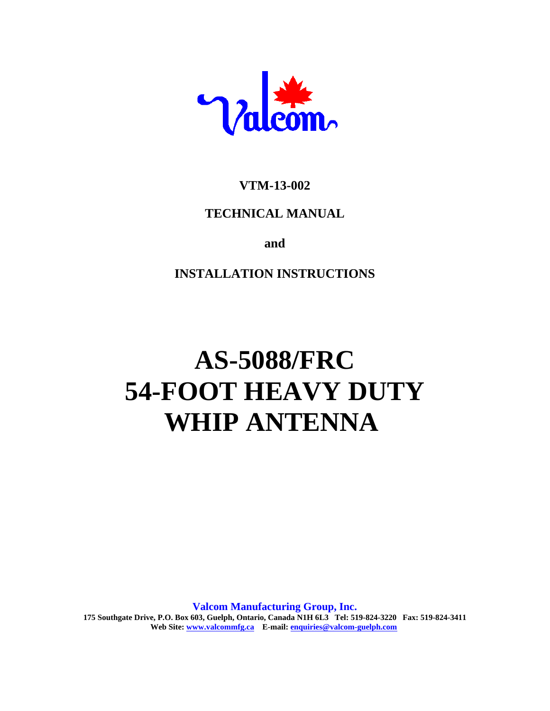

# **VTM-13-002**

# **TECHNICAL MANUAL**

**and**

# **INSTALLATION INSTRUCTIONS**

# **AS-5088/FRC 54-FOOT HEAVY DUTY WHIP ANTENNA**

**Valcom Manufacturing Group, Inc. 175 Southgate Drive, P.O. Box 603, Guelph, Ontario, Canada N1H 6L3 Tel: 519-824-3220 Fax: 519-824-3411 Web Site: www.valcommfg.ca E-mail: enquiries@valcom-guelph.com**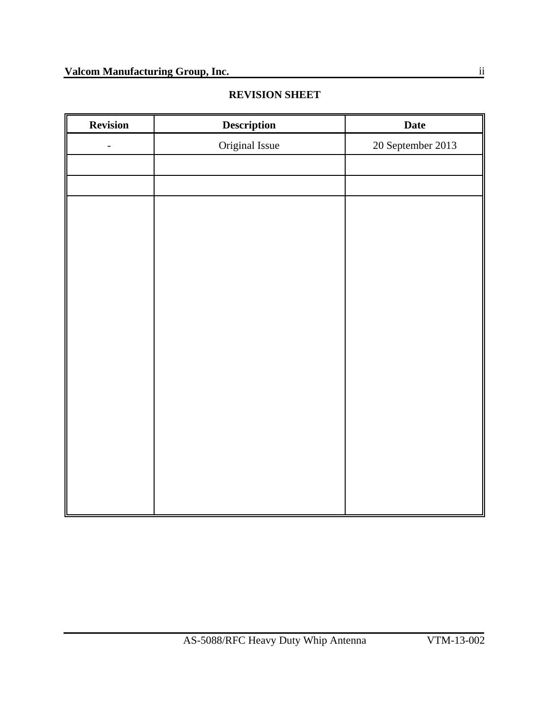| <b>REVISION SHEET</b> |
|-----------------------|
|-----------------------|

| <b>Description</b> | <b>Date</b>       |
|--------------------|-------------------|
| Original Issue     | 20 September 2013 |
|                    |                   |
|                    |                   |
|                    |                   |
|                    |                   |
|                    |                   |
|                    |                   |
|                    |                   |
|                    |                   |
|                    |                   |
|                    |                   |
|                    |                   |
|                    |                   |
|                    |                   |
|                    |                   |
|                    |                   |
|                    |                   |
|                    |                   |
|                    |                   |
|                    |                   |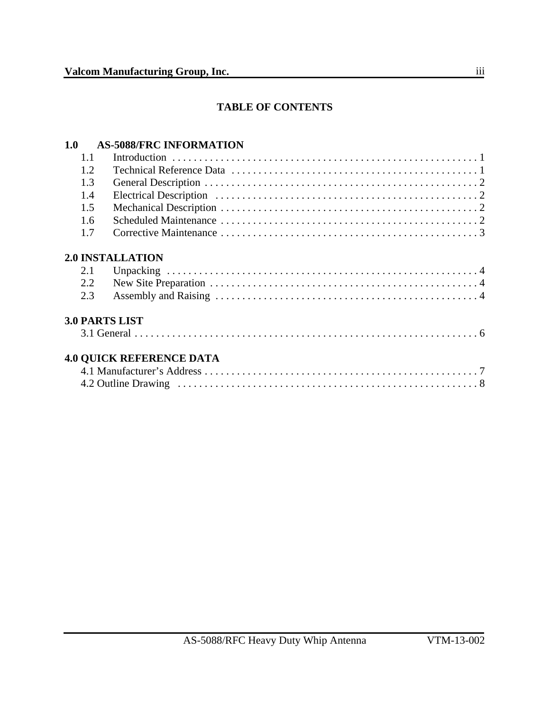## **TABLE OF CONTENTS**

# **1.0 AS-5088/FRC INFORMATION**

| 1.1  |                                 |  |
|------|---------------------------------|--|
| 1.2. |                                 |  |
| 1.3  |                                 |  |
| 1.4  |                                 |  |
| 1.5  |                                 |  |
| 1.6  |                                 |  |
| 1.7  |                                 |  |
|      | <b>2.0 INSTALLATION</b>         |  |
| 2.1  |                                 |  |
| 2.2  |                                 |  |
| 2.3  |                                 |  |
|      | <b>3.0 PARTS LIST</b>           |  |
|      |                                 |  |
|      | <b>4.0 QUICK REFERENCE DATA</b> |  |
|      |                                 |  |
|      |                                 |  |
|      |                                 |  |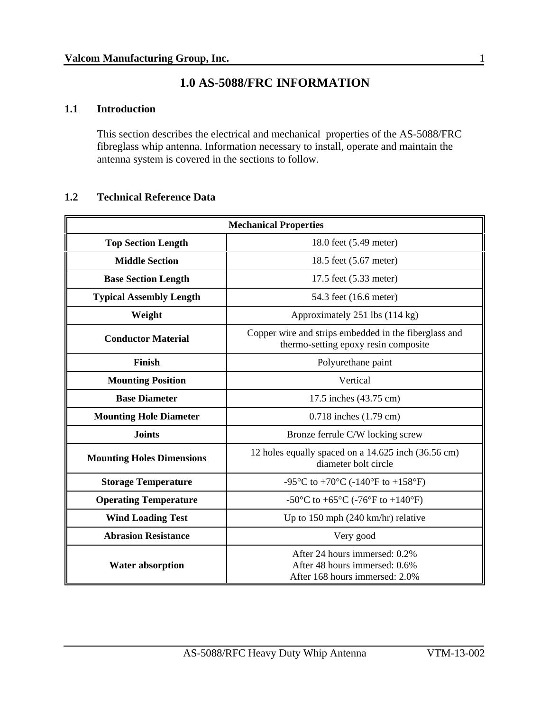# **1.0 AS-5088/FRC INFORMATION**

#### **1.1 Introduction**

This section describes the electrical and mechanical properties of the AS-5088/FRC fibreglass whip antenna. Information necessary to install, operate and maintain the antenna system is covered in the sections to follow.

#### **1.2 Technical Reference Data**

| <b>Mechanical Properties</b>                                                                                                 |                                                                                                  |  |  |  |
|------------------------------------------------------------------------------------------------------------------------------|--------------------------------------------------------------------------------------------------|--|--|--|
| <b>Top Section Length</b><br>18.0 feet (5.49 meter)                                                                          |                                                                                                  |  |  |  |
| <b>Middle Section</b>                                                                                                        | 18.5 feet (5.67 meter)                                                                           |  |  |  |
| <b>Base Section Length</b>                                                                                                   | 17.5 feet (5.33 meter)                                                                           |  |  |  |
| <b>Typical Assembly Length</b>                                                                                               | 54.3 feet (16.6 meter)                                                                           |  |  |  |
| Weight                                                                                                                       | Approximately 251 lbs (114 kg)                                                                   |  |  |  |
| <b>Conductor Material</b>                                                                                                    | Copper wire and strips embedded in the fiberglass and<br>thermo-setting epoxy resin composite    |  |  |  |
| Finish<br>Polyurethane paint                                                                                                 |                                                                                                  |  |  |  |
| <b>Mounting Position</b>                                                                                                     | Vertical                                                                                         |  |  |  |
| <b>Base Diameter</b>                                                                                                         | 17.5 inches (43.75 cm)                                                                           |  |  |  |
| <b>Mounting Hole Diameter</b>                                                                                                | $0.718$ inches $(1.79$ cm)                                                                       |  |  |  |
| <b>Joints</b>                                                                                                                | Bronze ferrule C/W locking screw                                                                 |  |  |  |
| 12 holes equally spaced on a 14.625 inch (36.56 cm)<br><b>Mounting Holes Dimensions</b><br>diameter bolt circle              |                                                                                                  |  |  |  |
| <b>Storage Temperature</b><br>-95 $\rm{^{\circ}C}$ to +70 $\rm{^{\circ}C}$ (-140 $\rm{^{\circ}F}$ to +158 $\rm{^{\circ}F}$ ) |                                                                                                  |  |  |  |
| <b>Operating Temperature</b>                                                                                                 | -50°C to +65°C (-76°F to +140°F)                                                                 |  |  |  |
| <b>Wind Loading Test</b>                                                                                                     | Up to $150$ mph $(240 \text{ km/hr})$ relative                                                   |  |  |  |
| <b>Abrasion Resistance</b>                                                                                                   | Very good                                                                                        |  |  |  |
| <b>Water absorption</b>                                                                                                      | After 24 hours immersed: 0.2%<br>After 48 hours immersed: 0.6%<br>After 168 hours immersed: 2.0% |  |  |  |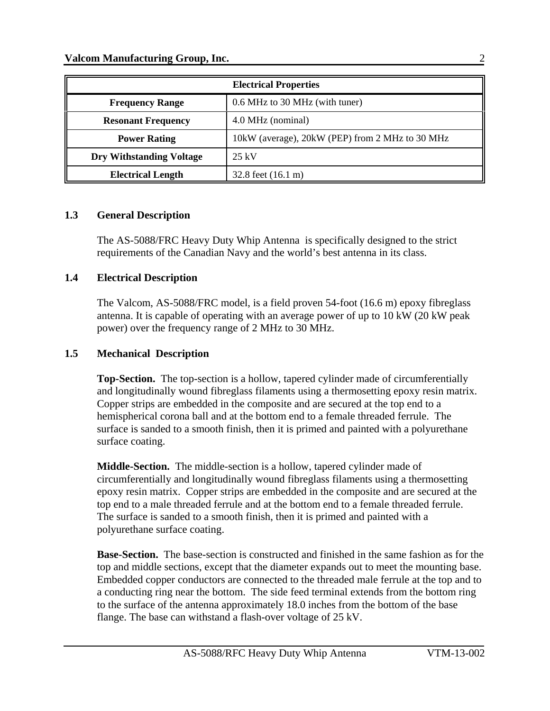| <b>Electrical Properties</b>    |                                                 |  |
|---------------------------------|-------------------------------------------------|--|
| <b>Frequency Range</b>          | 0.6 MHz to 30 MHz (with tuner)                  |  |
| <b>Resonant Frequency</b>       | 4.0 MHz (nominal)                               |  |
| <b>Power Rating</b>             | 10kW (average), 20kW (PEP) from 2 MHz to 30 MHz |  |
| <b>Dry Withstanding Voltage</b> | $25 \text{ kV}$                                 |  |
| <b>Electrical Length</b>        | 32.8 feet $(16.1 \text{ m})$                    |  |

#### **1.3 General Description**

The AS-5088/FRC Heavy Duty Whip Antenna is specifically designed to the strict requirements of the Canadian Navy and the world's best antenna in its class.

#### **1.4 Electrical Description**

The Valcom, AS-5088/FRC model, is a field proven 54-foot (16.6 m) epoxy fibreglass antenna. It is capable of operating with an average power of up to 10 kW (20 kW peak power) over the frequency range of 2 MHz to 30 MHz.

#### **1.5 Mechanical Description**

**Top-Section.** The top-section is a hollow, tapered cylinder made of circumferentially and longitudinally wound fibreglass filaments using a thermosetting epoxy resin matrix. Copper strips are embedded in the composite and are secured at the top end to a hemispherical corona ball and at the bottom end to a female threaded ferrule. The surface is sanded to a smooth finish, then it is primed and painted with a polyurethane surface coating.

**Middle-Section.** The middle-section is a hollow, tapered cylinder made of circumferentially and longitudinally wound fibreglass filaments using a thermosetting epoxy resin matrix. Copper strips are embedded in the composite and are secured at the top end to a male threaded ferrule and at the bottom end to a female threaded ferrule. The surface is sanded to a smooth finish, then it is primed and painted with a polyurethane surface coating.

**Base-Section.** The base-section is constructed and finished in the same fashion as for the top and middle sections, except that the diameter expands out to meet the mounting base. Embedded copper conductors are connected to the threaded male ferrule at the top and to a conducting ring near the bottom. The side feed terminal extends from the bottom ring to the surface of the antenna approximately 18.0 inches from the bottom of the base flange. The base can withstand a flash-over voltage of 25 kV.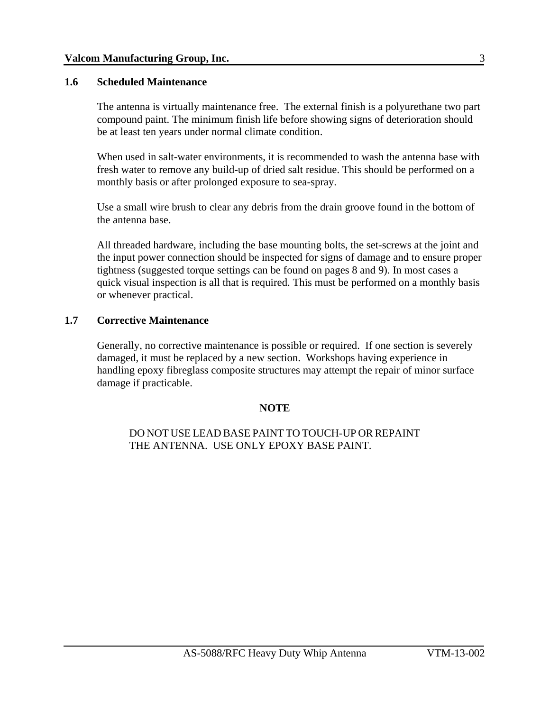#### **1.6 Scheduled Maintenance**

The antenna is virtually maintenance free. The external finish is a polyurethane two part compound paint. The minimum finish life before showing signs of deterioration should be at least ten years under normal climate condition.

 When used in salt-water environments, it is recommended to wash the antenna base with fresh water to remove any build-up of dried salt residue. This should be performed on a monthly basis or after prolonged exposure to sea-spray.

Use a small wire brush to clear any debris from the drain groove found in the bottom of the antenna base.

All threaded hardware, including the base mounting bolts, the set-screws at the joint and the input power connection should be inspected for signs of damage and to ensure proper tightness (suggested torque settings can be found on pages 8 and 9). In most cases a quick visual inspection is all that is required. This must be performed on a monthly basis or whenever practical.

#### **1.7 Corrective Maintenance**

Generally, no corrective maintenance is possible or required. If one section is severely damaged, it must be replaced by a new section. Workshops having experience in handling epoxy fibreglass composite structures may attempt the repair of minor surface damage if practicable.

#### **NOTE**

DO NOT USE LEAD BASE PAINT TO TOUCH-UP OR REPAINT THE ANTENNA. USE ONLY EPOXY BASE PAINT.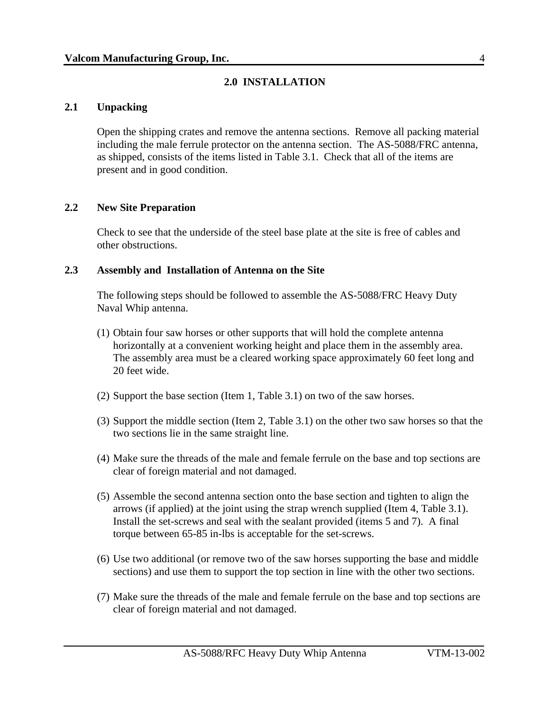#### **2.0 INSTALLATION**

#### **2.1 Unpacking**

Open the shipping crates and remove the antenna sections. Remove all packing material including the male ferrule protector on the antenna section. The AS-5088/FRC antenna, as shipped, consists of the items listed in Table 3.1. Check that all of the items are present and in good condition.

#### **2.2 New Site Preparation**

Check to see that the underside of the steel base plate at the site is free of cables and other obstructions.

#### **2.3 Assembly and Installation of Antenna on the Site**

The following steps should be followed to assemble the AS-5088/FRC Heavy Duty Naval Whip antenna.

- (1) Obtain four saw horses or other supports that will hold the complete antenna horizontally at a convenient working height and place them in the assembly area. The assembly area must be a cleared working space approximately 60 feet long and 20 feet wide.
- (2) Support the base section (Item 1, Table 3.1) on two of the saw horses.
- (3) Support the middle section (Item 2, Table 3.1) on the other two saw horses so that the two sections lie in the same straight line.
- (4) Make sure the threads of the male and female ferrule on the base and top sections are clear of foreign material and not damaged.
- (5) Assemble the second antenna section onto the base section and tighten to align the arrows (if applied) at the joint using the strap wrench supplied (Item 4, Table 3.1). Install the set-screws and seal with the sealant provided (items 5 and 7). A final torque between 65-85 in-lbs is acceptable for the set-screws.
- (6) Use two additional (or remove two of the saw horses supporting the base and middle sections) and use them to support the top section in line with the other two sections.
- (7) Make sure the threads of the male and female ferrule on the base and top sections are clear of foreign material and not damaged.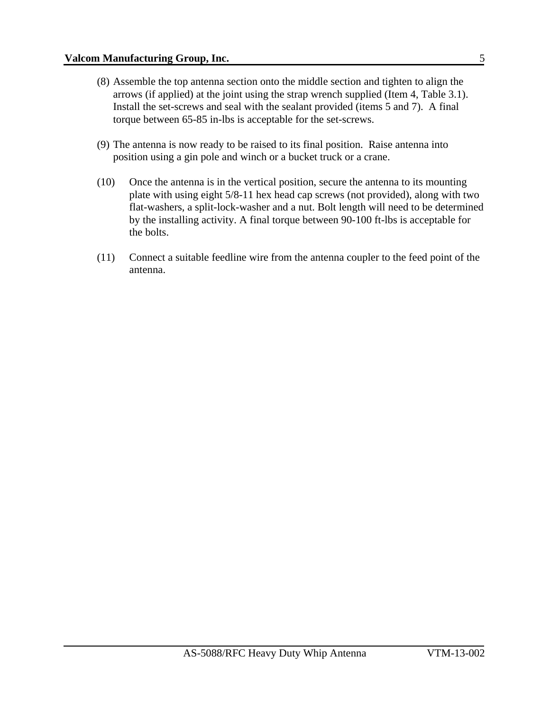- (8) Assemble the top antenna section onto the middle section and tighten to align the arrows (if applied) at the joint using the strap wrench supplied (Item 4, Table 3.1). Install the set-screws and seal with the sealant provided (items 5 and 7). A final torque between 65-85 in-lbs is acceptable for the set-screws.
- (9) The antenna is now ready to be raised to its final position. Raise antenna into position using a gin pole and winch or a bucket truck or a crane.
- (10) Once the antenna is in the vertical position, secure the antenna to its mounting plate with using eight 5/8-11 hex head cap screws (not provided), along with two flat-washers, a split-lock-washer and a nut. Bolt length will need to be determined by the installing activity. A final torque between 90-100 ft-lbs is acceptable for the bolts.
- (11) Connect a suitable feedline wire from the antenna coupler to the feed point of the antenna.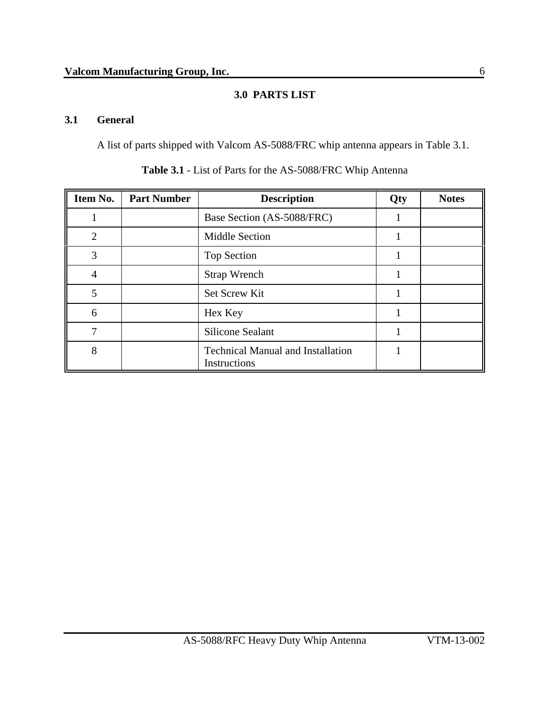### **3.0 PARTS LIST**

### **3.1 General**

A list of parts shipped with Valcom AS-5088/FRC whip antenna appears in Table 3.1.

| Item No.       | <b>Part Number</b> | <b>Description</b>                                       | Qty | <b>Notes</b> |
|----------------|--------------------|----------------------------------------------------------|-----|--------------|
|                |                    | Base Section (AS-5088/FRC)                               |     |              |
| $\overline{2}$ |                    | <b>Middle Section</b>                                    |     |              |
| 3              |                    | Top Section                                              |     |              |
| $\overline{4}$ |                    | <b>Strap Wrench</b>                                      |     |              |
| 5              |                    | Set Screw Kit                                            |     |              |
| 6              |                    | Hex Key                                                  |     |              |
| 7              |                    | <b>Silicone Sealant</b>                                  |     |              |
| 8              |                    | <b>Technical Manual and Installation</b><br>Instructions |     |              |

**Table 3.1** - List of Parts for the AS-5088/FRC Whip Antenna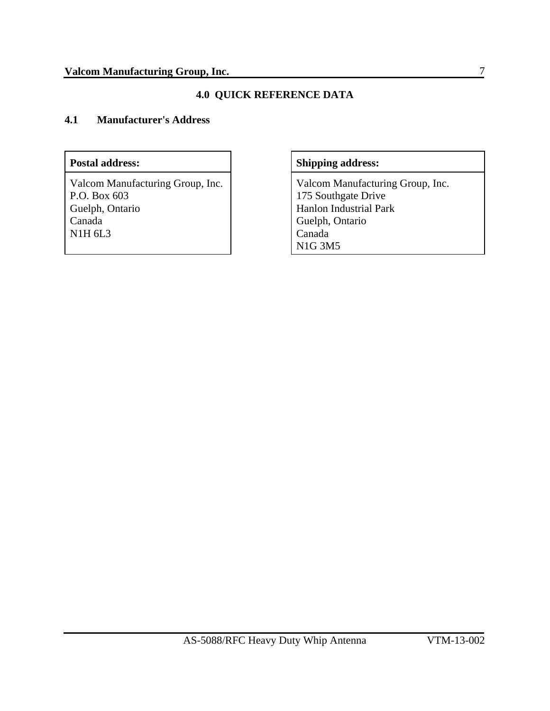#### **4.0 QUICK REFERENCE DATA**

#### **4.1 Manufacturer's Address**

Valcom Manufacturing Group, Inc. P.O. Box 603 Guelph, Ontario Canada N1H 6L3

#### Postal address: Shipping address:

Valcom Manufacturing Group, Inc. 175 Southgate Drive Hanlon Industrial Park Guelph, Ontario Canada N1G 3M5